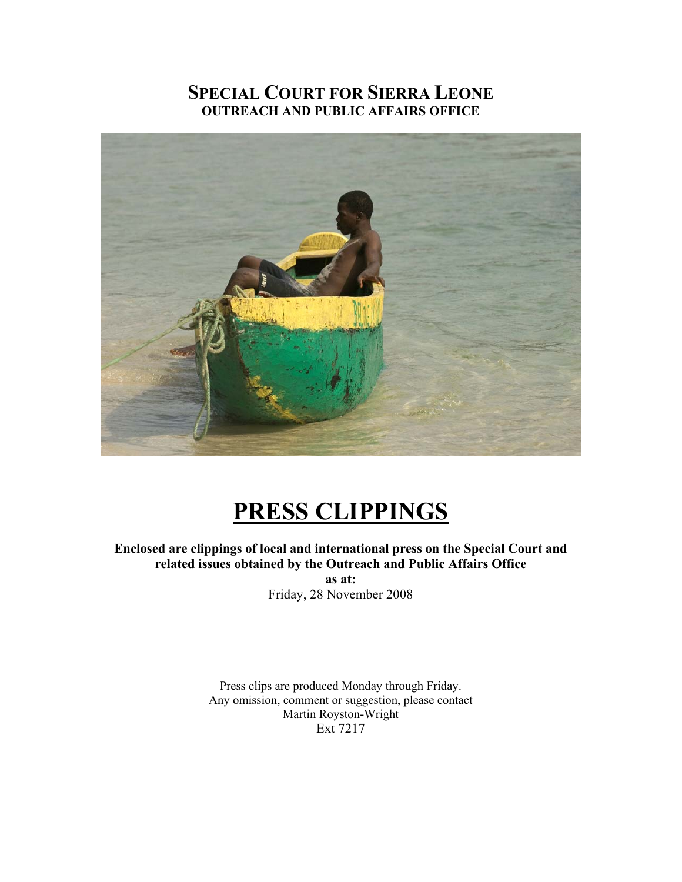# **SPECIAL COURT FOR SIERRA LEONE OUTREACH AND PUBLIC AFFAIRS OFFICE**



# **PRESS CLIPPINGS**

**Enclosed are clippings of local and international press on the Special Court and related issues obtained by the Outreach and Public Affairs Office** 

**as at:**  Friday, 28 November 2008

Press clips are produced Monday through Friday. Any omission, comment or suggestion, please contact Martin Royston-Wright Ext 7217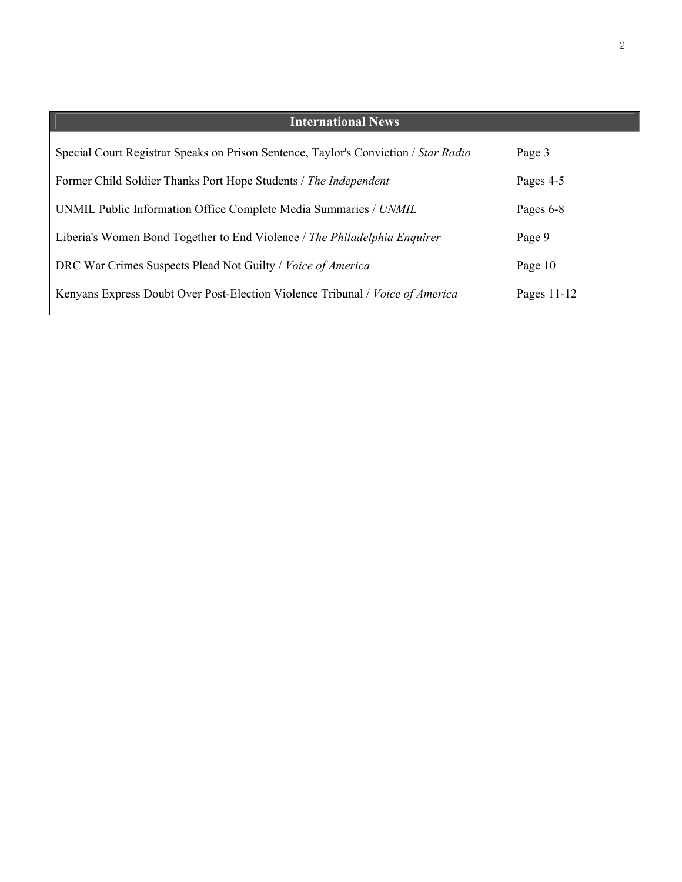| <b>International News</b>                                                           |             |
|-------------------------------------------------------------------------------------|-------------|
| Special Court Registrar Speaks on Prison Sentence, Taylor's Conviction / Star Radio | Page 3      |
| Former Child Soldier Thanks Port Hope Students / The Independent                    | Pages 4-5   |
| UNMIL Public Information Office Complete Media Summaries / UNMIL                    | Pages 6-8   |
| Liberia's Women Bond Together to End Violence / The Philadelphia Enquirer           | Page 9      |
| DRC War Crimes Suspects Plead Not Guilty / Voice of America                         | Page 10     |
| Kenyans Express Doubt Over Post-Election Violence Tribunal / Voice of America       | Pages 11-12 |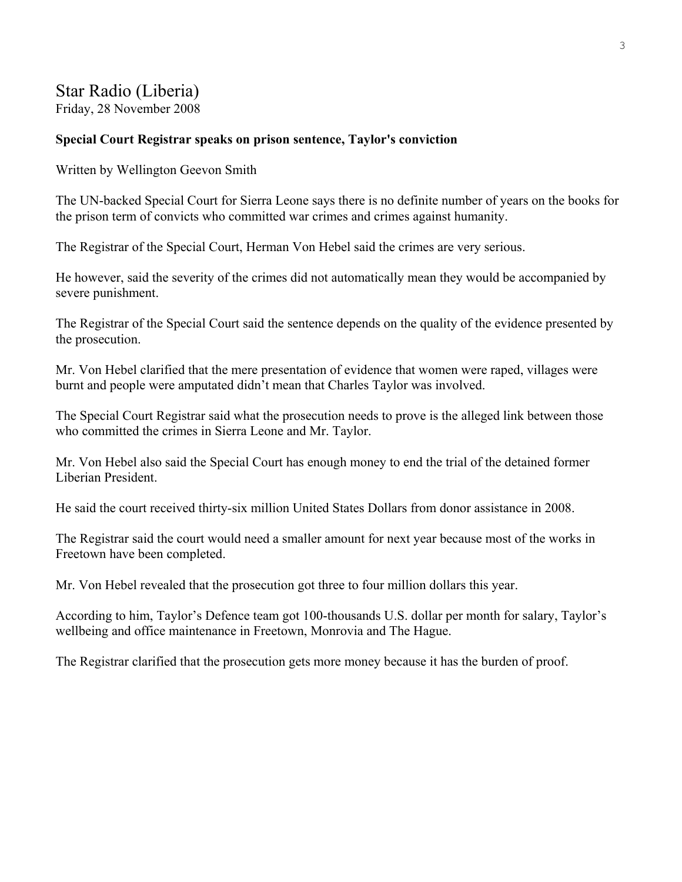# Star Radio (Liberia)

Friday, 28 November 2008

#### **Special Court Registrar speaks on prison sentence, Taylor's conviction**

Written by Wellington Geevon Smith

The UN-backed Special Court for Sierra Leone says there is no definite number of years on the books for the prison term of convicts who committed war crimes and crimes against humanity.

The Registrar of the Special Court, Herman Von Hebel said the crimes are very serious.

He however, said the severity of the crimes did not automatically mean they would be accompanied by severe punishment.

The Registrar of the Special Court said the sentence depends on the quality of the evidence presented by the prosecution.

Mr. Von Hebel clarified that the mere presentation of evidence that women were raped, villages were burnt and people were amputated didn't mean that Charles Taylor was involved.

The Special Court Registrar said what the prosecution needs to prove is the alleged link between those who committed the crimes in Sierra Leone and Mr. Taylor.

Mr. Von Hebel also said the Special Court has enough money to end the trial of the detained former Liberian President.

He said the court received thirty-six million United States Dollars from donor assistance in 2008.

The Registrar said the court would need a smaller amount for next year because most of the works in Freetown have been completed.

Mr. Von Hebel revealed that the prosecution got three to four million dollars this year.

According to him, Taylor's Defence team got 100-thousands U.S. dollar per month for salary, Taylor's wellbeing and office maintenance in Freetown, Monrovia and The Hague.

The Registrar clarified that the prosecution gets more money because it has the burden of proof.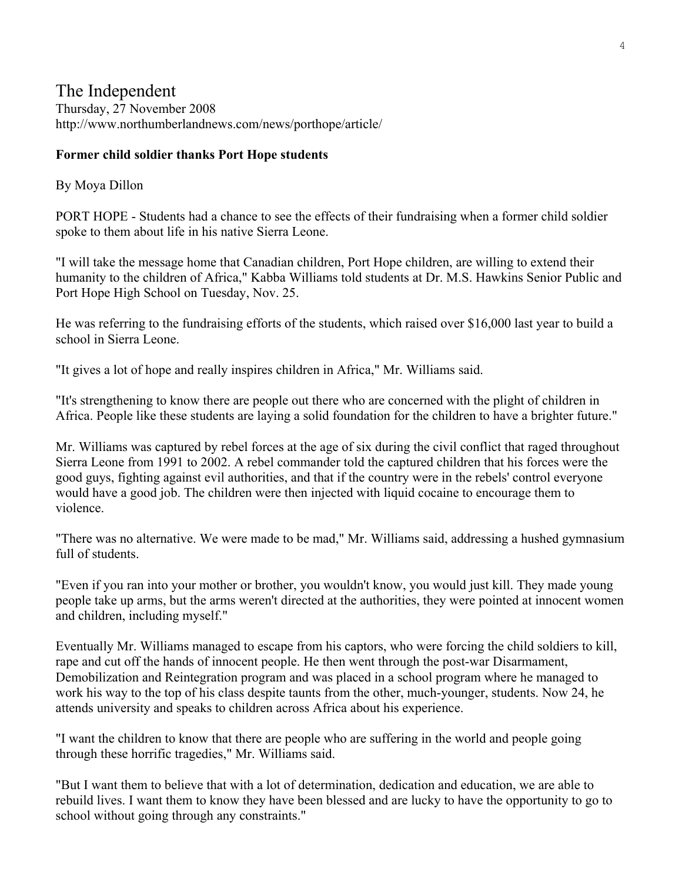# The Independent Thursday, 27 November 2008 http://www.northumberlandnews.com/news/porthope/article/

#### **Former child soldier thanks Port Hope students**

#### By Moya Dillon

PORT HOPE - Students had a chance to see the effects of their fundraising when a former child soldier spoke to them about life in his native Sierra Leone.

"I will take the message home that Canadian children, Port Hope children, are willing to extend their humanity to the children of Africa," Kabba Williams told students at Dr. M.S. Hawkins Senior Public and Port Hope High School on Tuesday, Nov. 25.

He was referring to the fundraising efforts of the students, which raised over \$16,000 last year to build a school in Sierra Leone.

"It gives a lot of hope and really inspires children in Africa," Mr. Williams said.

"It's strengthening to know there are people out there who are concerned with the plight of children in Africa. People like these students are laying a solid foundation for the children to have a brighter future."

Mr. Williams was captured by rebel forces at the age of six during the civil conflict that raged throughout Sierra Leone from 1991 to 2002. A rebel commander told the captured children that his forces were the good guys, fighting against evil authorities, and that if the country were in the rebels' control everyone would have a good job. The children were then injected with liquid cocaine to encourage them to violence.

"There was no alternative. We were made to be mad," Mr. Williams said, addressing a hushed gymnasium full of students

"Even if you ran into your mother or brother, you wouldn't know, you would just kill. They made young people take up arms, but the arms weren't directed at the authorities, they were pointed at innocent women and children, including myself."

Eventually Mr. Williams managed to escape from his captors, who were forcing the child soldiers to kill, rape and cut off the hands of innocent people. He then went through the post-war Disarmament, Demobilization and Reintegration program and was placed in a school program where he managed to work his way to the top of his class despite taunts from the other, much-younger, students. Now 24, he attends university and speaks to children across Africa about his experience.

"I want the children to know that there are people who are suffering in the world and people going through these horrific tragedies," Mr. Williams said.

"But I want them to believe that with a lot of determination, dedication and education, we are able to rebuild lives. I want them to know they have been blessed and are lucky to have the opportunity to go to school without going through any constraints."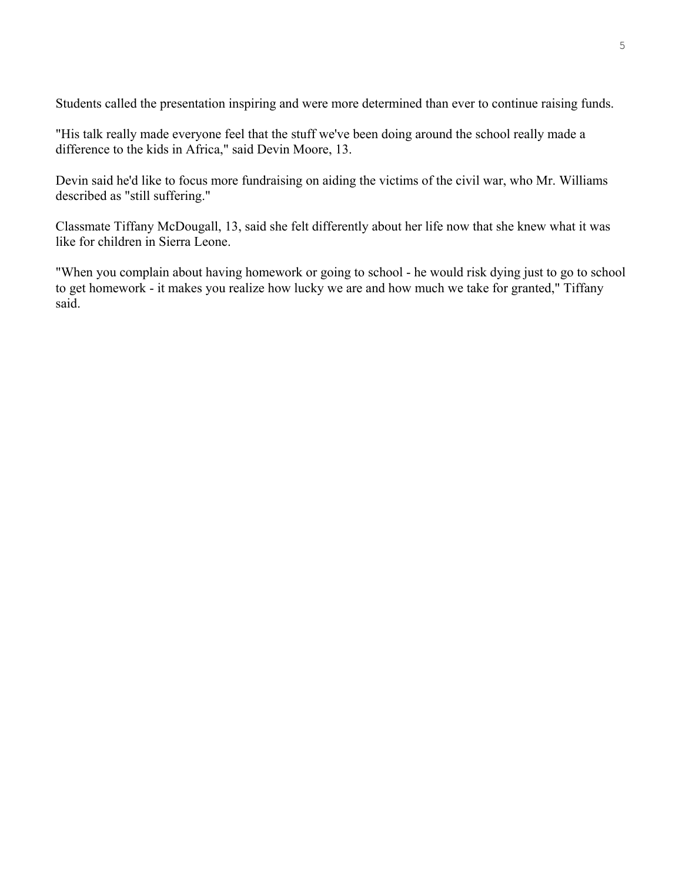Students called the presentation inspiring and were more determined than ever to continue raising funds.

"His talk really made everyone feel that the stuff we've been doing around the school really made a difference to the kids in Africa," said Devin Moore, 13.

Devin said he'd like to focus more fundraising on aiding the victims of the civil war, who Mr. Williams described as "still suffering."

Classmate Tiffany McDougall, 13, said she felt differently about her life now that she knew what it was like for children in Sierra Leone.

"When you complain about having homework or going to school - he would risk dying just to go to school to get homework - it makes you realize how lucky we are and how much we take for granted," Tiffany said.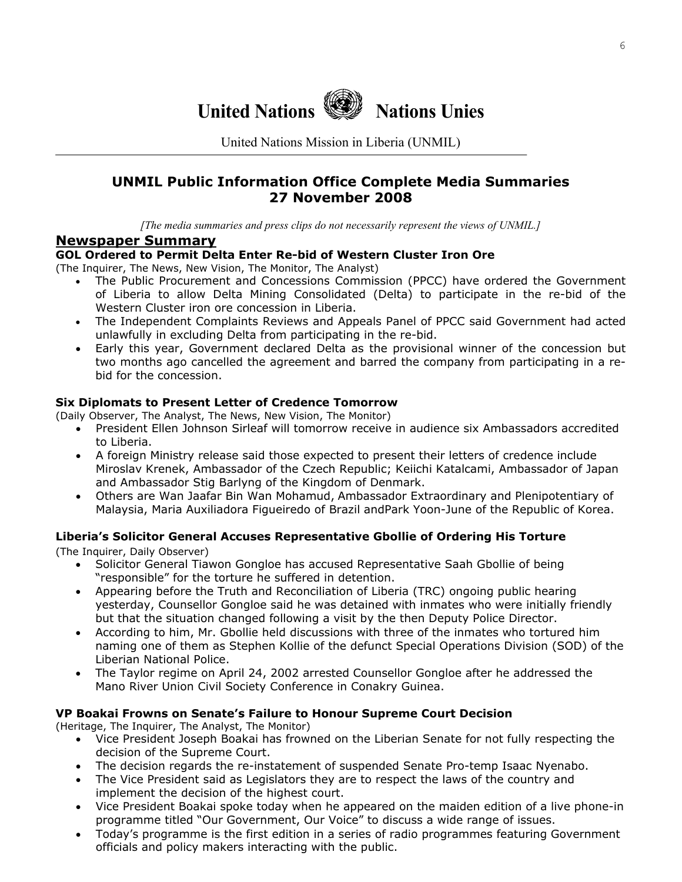

United Nations Mission in Liberia (UNMIL)

### **UNMIL Public Information Office Complete Media Summaries 27 November 2008**

*[The media summaries and press clips do not necessarily represent the views of UNMIL.]*

#### **Newspaper Summary**

#### **GOL Ordered to Permit Delta Enter Re-bid of Western Cluster Iron Ore**

(The Inquirer, The News, New Vision, The Monitor, The Analyst)

- The Public Procurement and Concessions Commission (PPCC) have ordered the Government of Liberia to allow Delta Mining Consolidated (Delta) to participate in the re-bid of the Western Cluster iron ore concession in Liberia.
- The Independent Complaints Reviews and Appeals Panel of PPCC said Government had acted unlawfully in excluding Delta from participating in the re-bid.
- Early this year, Government declared Delta as the provisional winner of the concession but two months ago cancelled the agreement and barred the company from participating in a rebid for the concession.

#### **Six Diplomats to Present Letter of Credence Tomorrow**

(Daily Observer, The Analyst, The News, New Vision, The Monitor)

- President Ellen Johnson Sirleaf will tomorrow receive in audience six Ambassadors accredited to Liberia.
- A foreign Ministry release said those expected to present their letters of credence include Miroslav Krenek, Ambassador of the Czech Republic; Keiichi Katalcami, Ambassador of Japan and Ambassador Stig Barlyng of the Kingdom of Denmark.
- Others are Wan Jaafar Bin Wan Mohamud, Ambassador Extraordinary and Plenipotentiary of Malaysia, Maria Auxiliadora Figueiredo of Brazil andPark Yoon-June of the Republic of Korea.

#### **Liberia's Solicitor General Accuses Representative Gbollie of Ordering His Torture**

(The Inquirer, Daily Observer)

- Solicitor General Tiawon Gongloe has accused Representative Saah Gbollie of being "responsible" for the torture he suffered in detention.
- Appearing before the Truth and Reconciliation of Liberia (TRC) ongoing public hearing yesterday, Counsellor Gongloe said he was detained with inmates who were initially friendly but that the situation changed following a visit by the then Deputy Police Director.
- According to him, Mr. Gbollie held discussions with three of the inmates who tortured him naming one of them as Stephen Kollie of the defunct Special Operations Division (SOD) of the Liberian National Police.
- The Taylor regime on April 24, 2002 arrested Counsellor Gongloe after he addressed the Mano River Union Civil Society Conference in Conakry Guinea.

#### **VP Boakai Frowns on Senate's Failure to Honour Supreme Court Decision**

(Heritage, The Inquirer, The Analyst, The Monitor)

- Vice President Joseph Boakai has frowned on the Liberian Senate for not fully respecting the decision of the Supreme Court.
- The decision regards the re-instatement of suspended Senate Pro-temp Isaac Nyenabo.
- The Vice President said as Legislators they are to respect the laws of the country and implement the decision of the highest court.
- Vice President Boakai spoke today when he appeared on the maiden edition of a live phone-in programme titled "Our Government, Our Voice" to discuss a wide range of issues.
- Today's programme is the first edition in a series of radio programmes featuring Government officials and policy makers interacting with the public.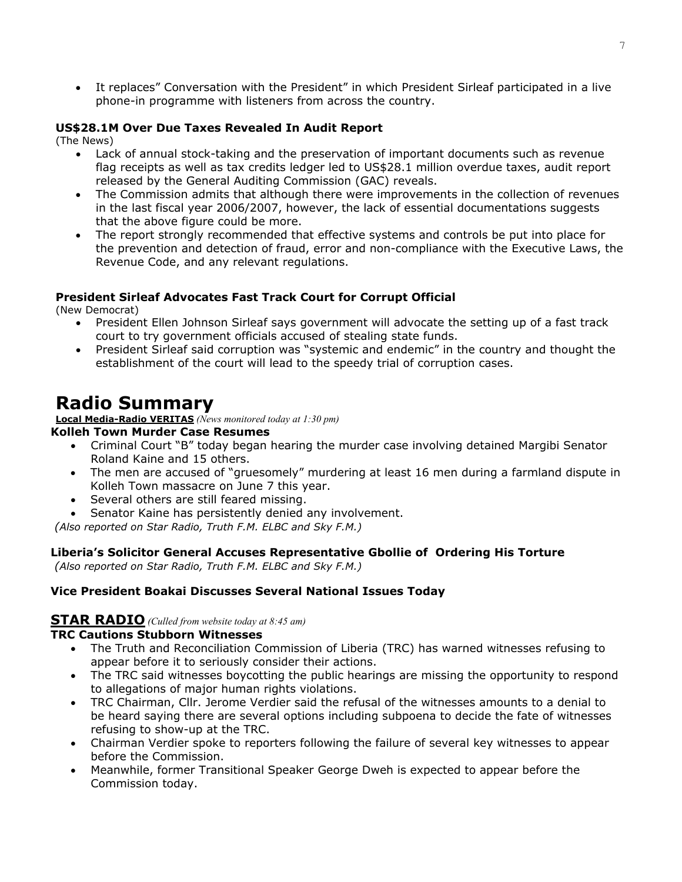• It replaces" Conversation with the President" in which President Sirleaf participated in a live phone-in programme with listeners from across the country.

#### **US\$28.1M Over Due Taxes Revealed In Audit Report**

(The News)

- Lack of annual stock-taking and the preservation of important documents such as revenue flag receipts as well as tax credits ledger led to US\$28.1 million overdue taxes, audit report released by the General Auditing Commission (GAC) reveals.
- The Commission admits that although there were improvements in the collection of revenues in the last fiscal year 2006/2007, however, the lack of essential documentations suggests that the above figure could be more.
- The report strongly recommended that effective systems and controls be put into place for the prevention and detection of fraud, error and non-compliance with the Executive Laws, the Revenue Code, and any relevant regulations.

#### **President Sirleaf Advocates Fast Track Court for Corrupt Official**

(New Democrat)

- President Ellen Johnson Sirleaf says government will advocate the setting up of a fast track court to try government officials accused of stealing state funds.
- President Sirleaf said corruption was "systemic and endemic" in the country and thought the establishment of the court will lead to the speedy trial of corruption cases.

# **Radio Summary**

**Local Media-Radio VERITAS** *(News monitored today at 1:30 pm)*

#### **Kolleh Town Murder Case Resumes**

- Criminal Court "B" today began hearing the murder case involving detained Margibi Senator Roland Kaine and 15 others.
- The men are accused of "gruesomely" murdering at least 16 men during a farmland dispute in Kolleh Town massacre on June 7 this year.
- Several others are still feared missing.
- Senator Kaine has persistently denied any involvement.

 *(Also reported on Star Radio, Truth F.M. ELBC and Sky F.M.)* 

#### **Liberia's Solicitor General Accuses Representative Gbollie of Ordering His Torture**

 *(Also reported on Star Radio, Truth F.M. ELBC and Sky F.M.)* 

#### **Vice President Boakai Discusses Several National Issues Today**

#### **STAR RADIO** *(Culled from website today at 8:45 am)*

#### **TRC Cautions Stubborn Witnesses**

- The Truth and Reconciliation Commission of Liberia (TRC) has warned witnesses refusing to appear before it to seriously consider their actions.
- The TRC said witnesses boycotting the public hearings are missing the opportunity to respond to allegations of major human rights violations.
- TRC Chairman, Cllr. Jerome Verdier said the refusal of the witnesses amounts to a denial to be heard saying there are several options including subpoena to decide the fate of witnesses refusing to show-up at the TRC.
- Chairman Verdier spoke to reporters following the failure of several key witnesses to appear before the Commission.
- Meanwhile, former Transitional Speaker George Dweh is expected to appear before the Commission today.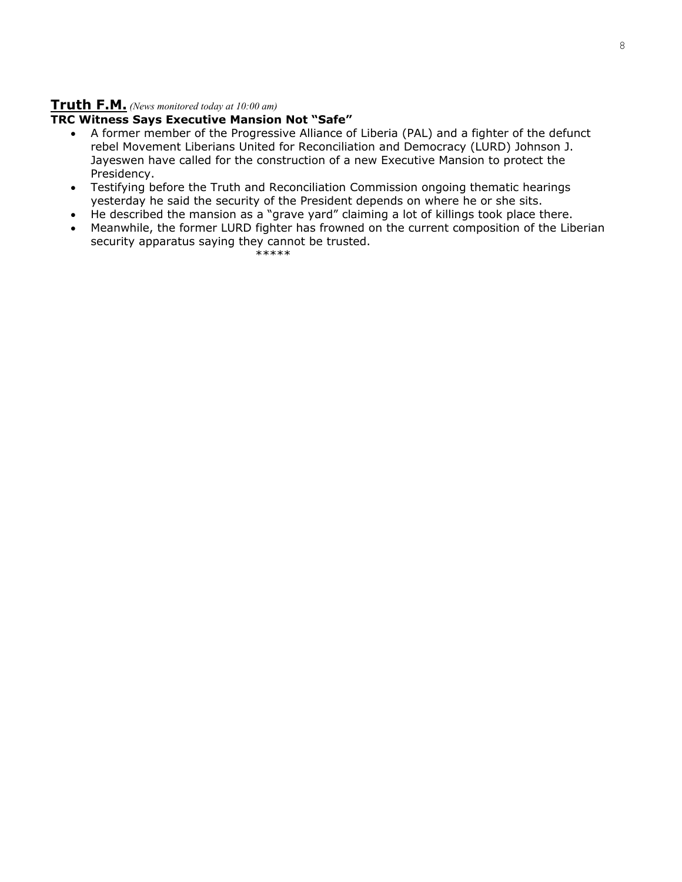# **Truth F.M.** *(News monitored today at 10:00 am)*

#### **TRC Witness Says Executive Mansion Not "Safe"**

- A former member of the Progressive Alliance of Liberia (PAL) and a fighter of the defunct rebel Movement Liberians United for Reconciliation and Democracy (LURD) Johnson J. Jayeswen have called for the construction of a new Executive Mansion to protect the Presidency.
- Testifying before the Truth and Reconciliation Commission ongoing thematic hearings yesterday he said the security of the President depends on where he or she sits.
- He described the mansion as a "grave yard" claiming a lot of killings took place there.
- Meanwhile, the former LURD fighter has frowned on the current composition of the Liberian security apparatus saying they cannot be trusted.

\*\*\*\*\*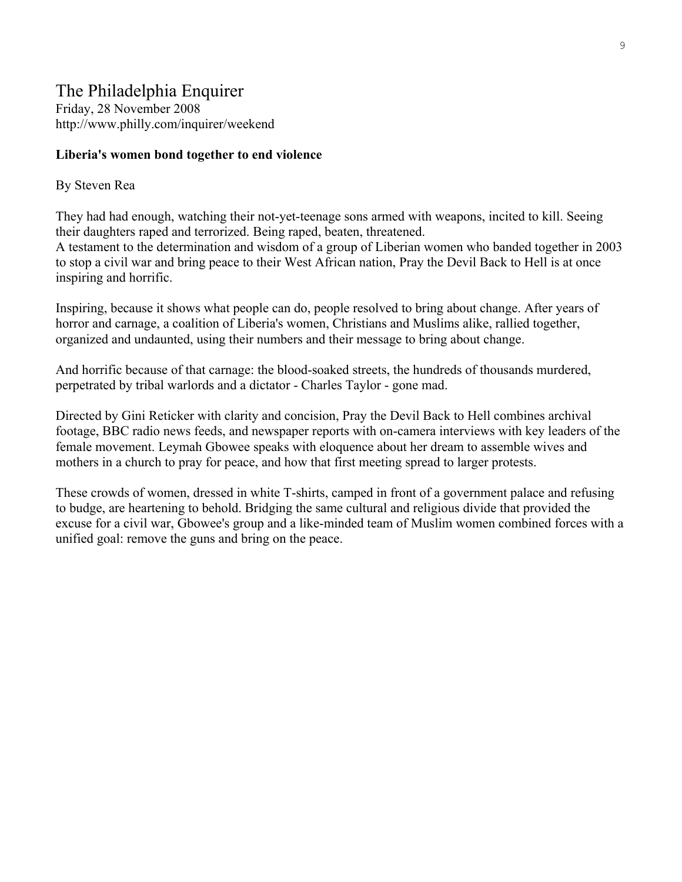# The Philadelphia Enquirer Friday, 28 November 2008 http://www.philly.com/inquirer/weekend

#### **Liberia's women bond together to end violence**

#### By Steven Rea

They had had enough, watching their not-yet-teenage sons armed with weapons, incited to kill. Seeing their daughters raped and terrorized. Being raped, beaten, threatened.

A testament to the determination and wisdom of a group of Liberian women who banded together in 2003 to stop a civil war and bring peace to their West African nation, Pray the Devil Back to Hell is at once inspiring and horrific.

Inspiring, because it shows what people can do, people resolved to bring about change. After years of horror and carnage, a coalition of Liberia's women, Christians and Muslims alike, rallied together, organized and undaunted, using their numbers and their message to bring about change.

And horrific because of that carnage: the blood-soaked streets, the hundreds of thousands murdered, perpetrated by tribal warlords and a dictator - Charles Taylor - gone mad.

Directed by Gini Reticker with clarity and concision, Pray the Devil Back to Hell combines archival footage, BBC radio news feeds, and newspaper reports with on-camera interviews with key leaders of the female movement. Leymah Gbowee speaks with eloquence about her dream to assemble wives and mothers in a church to pray for peace, and how that first meeting spread to larger protests.

These crowds of women, dressed in white T-shirts, camped in front of a government palace and refusing to budge, are heartening to behold. Bridging the same cultural and religious divide that provided the excuse for a civil war, Gbowee's group and a like-minded team of Muslim women combined forces with a unified goal: remove the guns and bring on the peace.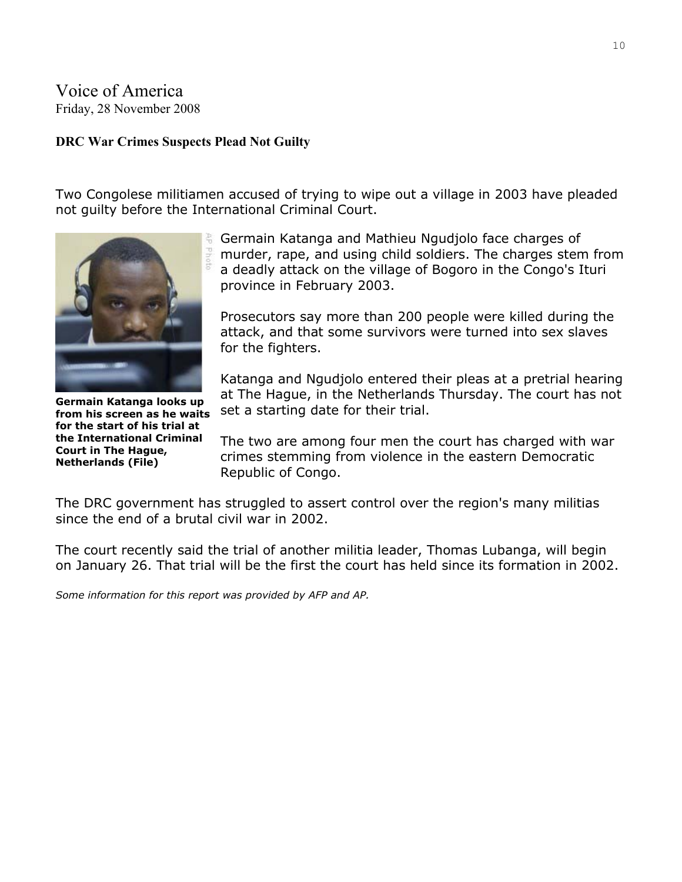# Voice of America Friday, 28 November 2008

#### **DRC War Crimes Suspects Plead Not Guilty**

Two Congolese militiamen accused of trying to wipe out a village in 2003 have pleaded not guilty before the International Criminal Court.



**Germain Katanga looks up from his screen as he waits for the start of his trial at the International Criminal Court in The Hague, Netherlands (File)** 

Germain Katanga and Mathieu Ngudjolo face charges of murder, rape, and using child soldiers. The charges stem from a deadly attack on the village of Bogoro in the Congo's Ituri province in February 2003.

Prosecutors say more than 200 people were killed during the attack, and that some survivors were turned into sex slaves for the fighters.

Katanga and Ngudjolo entered their pleas at a pretrial hearing at The Hague, in the Netherlands Thursday. The court has not set a starting date for their trial.

The two are among four men the court has charged with war crimes stemming from violence in the eastern Democratic Republic of Congo.

The DRC government has struggled to assert control over the region's many militias since the end of a brutal civil war in 2002.

The court recently said the trial of another militia leader, Thomas Lubanga, will begin on January 26. That trial will be the first the court has held since its formation in 2002.

*Some information for this report was provided by AFP and AP.*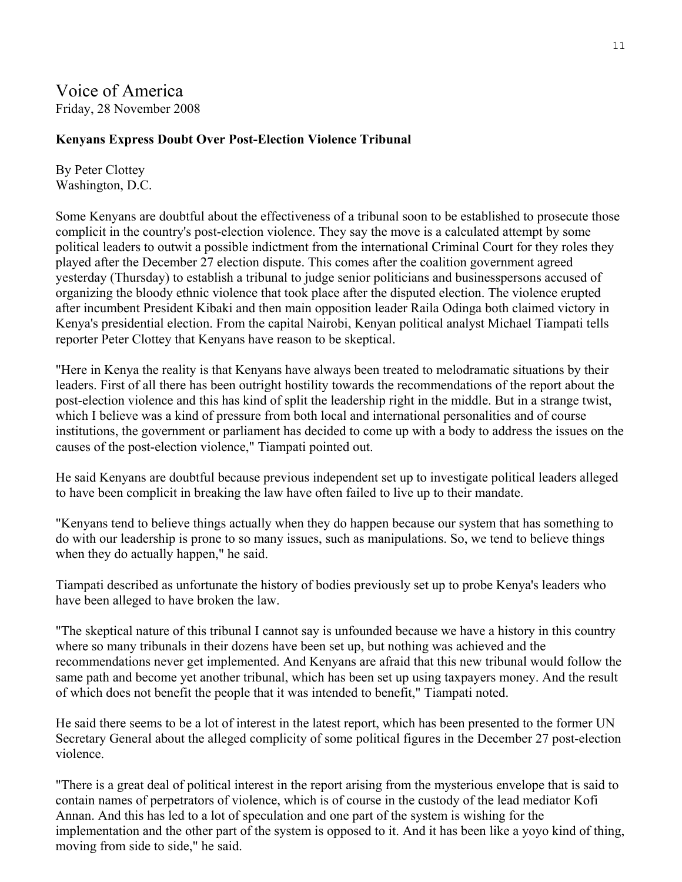# Voice of America Friday, 28 November 2008

#### **Kenyans Express Doubt Over Post-Election Violence Tribunal**

By Peter Clottey Washington, D.C.

Some Kenyans are doubtful about the effectiveness of a tribunal soon to be established to prosecute those complicit in the country's post-election violence. They say the move is a calculated attempt by some political leaders to outwit a possible indictment from the international Criminal Court for they roles they played after the December 27 election dispute. This comes after the coalition government agreed yesterday (Thursday) to establish a tribunal to judge senior politicians and businesspersons accused of organizing the bloody ethnic violence that took place after the disputed election. The violence erupted after incumbent President Kibaki and then main opposition leader Raila Odinga both claimed victory in Kenya's presidential election. From the capital Nairobi, Kenyan political analyst Michael Tiampati tells reporter Peter Clottey that Kenyans have reason to be skeptical.

"Here in Kenya the reality is that Kenyans have always been treated to melodramatic situations by their leaders. First of all there has been outright hostility towards the recommendations of the report about the post-election violence and this has kind of split the leadership right in the middle. But in a strange twist, which I believe was a kind of pressure from both local and international personalities and of course institutions, the government or parliament has decided to come up with a body to address the issues on the causes of the post-election violence," Tiampati pointed out.

He said Kenyans are doubtful because previous independent set up to investigate political leaders alleged to have been complicit in breaking the law have often failed to live up to their mandate.

"Kenyans tend to believe things actually when they do happen because our system that has something to do with our leadership is prone to so many issues, such as manipulations. So, we tend to believe things when they do actually happen," he said.

Tiampati described as unfortunate the history of bodies previously set up to probe Kenya's leaders who have been alleged to have broken the law.

"The skeptical nature of this tribunal I cannot say is unfounded because we have a history in this country where so many tribunals in their dozens have been set up, but nothing was achieved and the recommendations never get implemented. And Kenyans are afraid that this new tribunal would follow the same path and become yet another tribunal, which has been set up using taxpayers money. And the result of which does not benefit the people that it was intended to benefit," Tiampati noted.

He said there seems to be a lot of interest in the latest report, which has been presented to the former UN Secretary General about the alleged complicity of some political figures in the December 27 post-election violence.

"There is a great deal of political interest in the report arising from the mysterious envelope that is said to contain names of perpetrators of violence, which is of course in the custody of the lead mediator Kofi Annan. And this has led to a lot of speculation and one part of the system is wishing for the implementation and the other part of the system is opposed to it. And it has been like a yoyo kind of thing, moving from side to side," he said.